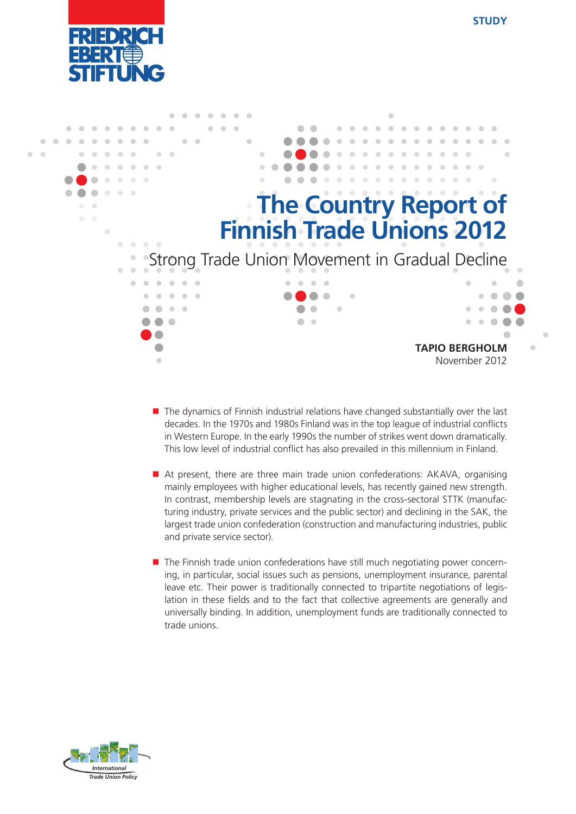



- $\blacksquare$  The dynamics of Finnish industrial relations have changed substantially over the last decades. In the 1970s and 1980s Finland was in the top league of industrial conflicts in Western Europe. In the early 1990s the number of strikes went down dramatically. This low level of industrial conflict has also prevailed in this millennium in Finland.
- At present, there are three main trade union confederations: AKAVA, organising mainly employees with higher educational levels, has recently gained new strength. In contrast, membership levels are stagnating in the cross-sectoral STTK (manufacturing industry, private services and the public sector) and declining in the SAK, the largest trade union confederation (construction and manufacturing industries, public and private service sector).
- **The Finnish trade union confederations have still much negotiating power concern**ing, in particular, social issues such as pensions, unemployment insurance, parental leave etc. Their power is traditionally connected to tripartite negotiations of legislation in these fields and to the fact that collective agreements are generally and universally binding. In addition, unemployment funds are traditionally connected to trade unions.

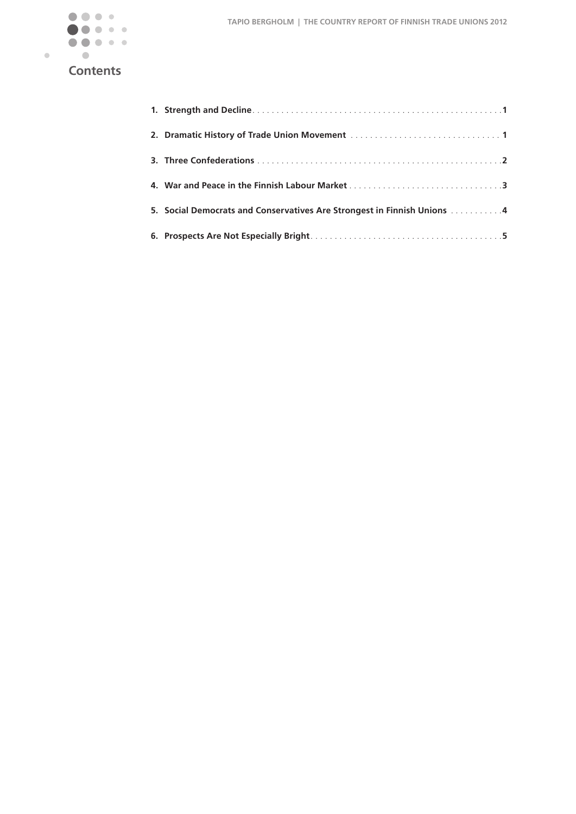

**Contents**

| 5. Social Democrats and Conservatives Are Strongest in Finnish Unions 4 |
|-------------------------------------------------------------------------|
|                                                                         |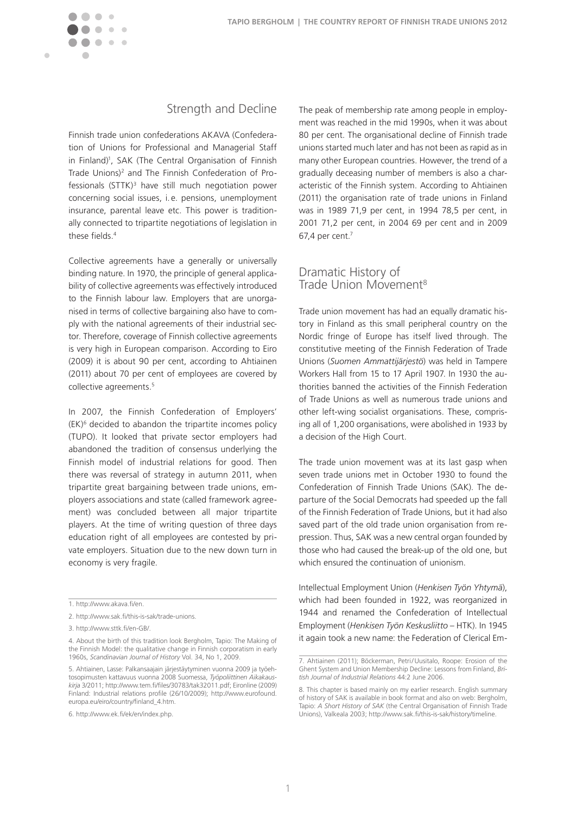# Strength and Decline

Finnish trade union confederations AKAVA (Confederation of Unions for Professional and Managerial Staff in Finland)1 , SAK (The Central Organisation of Finnish Trade Unions)<sup>2</sup> and The Finnish Confederation of Professionals (STTK)<sup>3</sup> have still much negotiation power concerning social issues, i. e. pensions, unemployment insurance, parental leave etc. This power is traditionally connected to tripartite negotiations of legislation in these fields. 4

Collective agreements have a generally or universally binding nature. In 1970, the principle of general applicability of collective agreements was effectively introduced to the Finnish labour law. Employers that are unorganised in terms of collective bargaining also have to comply with the national agreements of their industrial sector. Therefore, coverage of Finnish collective agreements is very high in European comparison. According to Eiro (2009) it is about 90 per cent, according to Ahtiainen (2011) about 70 per cent of employees are covered by collective agreements. 5

In 2007, the Finnish Confederation of Employers'  $(EK)^6$  decided to abandon the tripartite incomes policy (TUPO). It looked that private sector employers had abandoned the tradition of consensus underlying the Finnish model of industrial relations for good. Then there was reversal of strategy in autumn 2011, when tripartite great bargaining between trade unions, employers associations and state (called framework agreement) was concluded between all major tripartite players. At the time of writing question of three days education right of all employees are contested by private employers. Situation due to the new down turn in economy is very fragile.

The peak of membership rate among people in employment was reached in the mid 1990s, when it was about 80 per cent. The organisational decline of Finnish trade unions started much later and has not been as rapid as in many other European countries. However, the trend of a gradually deceasing number of members is also a characteristic of the Finnish system. According to Ahtiainen (2011) the organisation rate of trade unions in Finland was in 1989 71,9 per cent, in 1994 78,5 per cent, in 2001 71,2 per cent, in 2004 69 per cent and in 2009 67,4 per cent. 7

### Dramatic History of Trade Union Movement<sup>8</sup>

Trade union movement has had an equally dramatic history in Finland as this small peripheral country on the Nordic fringe of Europe has itself lived through. The constitutive meeting of the Finnish Federation of Trade Unions (*Suomen Ammattijärjestö*) was held in Tampere Workers Hall from 15 to 17 April 1907. In 1930 the authorities banned the activities of the Finnish Federation of Trade Unions as well as numerous trade unions and other left-wing socialist organisations. These, comprising all of 1,200 organisations, were abolished in 1933 by a decision of the High Court.

The trade union movement was at its last gasp when seven trade unions met in October 1930 to found the Confederation of Finnish Trade Unions (SAK). The departure of the Social Democrats had speeded up the fall of the Finnish Federation of Trade Unions, but it had also saved part of the old trade union organisation from repression. Thus, SAK was a new central organ founded by those who had caused the break-up of the old one, but which ensured the continuation of unionism.

Intellectual Employment Union (*Henkisen Työn Yhtymä*), which had been founded in 1922, was reorganized in 1944 and renamed the Confederation of Intellectual Employment (*Henkisen Työn Keskusliitto* – HTK). In 1945 it again took a new name: the Federation of Clerical Em-



<sup>1.</sup> http://www.akava.fi/en.

<sup>2.</sup> http://www.sak.fi/this-is-sak/trade-unions.

<sup>3.</sup> http://www.sttk.fi/en-GB/.

<sup>4.</sup> About the birth of this tradition look Bergholm, Tapio: The Making of the Finnish Model: the qualitative change in Finnish corporatism in early 1960s, *Scandinavian Journal of History* Vol. 34, No 1, 2009.

<sup>5.</sup> Ahtiainen, Lasse: Palkansaajain järjestäytyminen vuonna 2009 ja työehtosopimusten kattavuus vuonna 2008 Suomessa, *Työpoliittinen Aikakauskirja* 3/2011; http://www.tem.fi/files/30783/tak32011.pdf; Eironline (2009) Finland: Industrial relations profile (26/10/2009); http://www.eurofound. europa.eu/eiro/country/finland\_4.htm.

<sup>6.</sup> http://www.ek.fi/ek/en/index.php.

<sup>7.</sup> Ahtiainen (2011); Böckerman, Petri/Uusitalo, Roope: Erosion of the Ghent System and Union Membership Decline: Lessons from Finland, *British Journal of Industrial Relations* 44:2 June 2006.

<sup>8.</sup> This chapter is based mainly on my earlier research. English summary of history of SAK is available in book format and also on web: Bergholm, Tapio: *A Short History of SAK* (the Central Organisation of Finnish Trade Unions), Valkeala 2003; http://www.sak.fi/this-is-sak/history/timeline.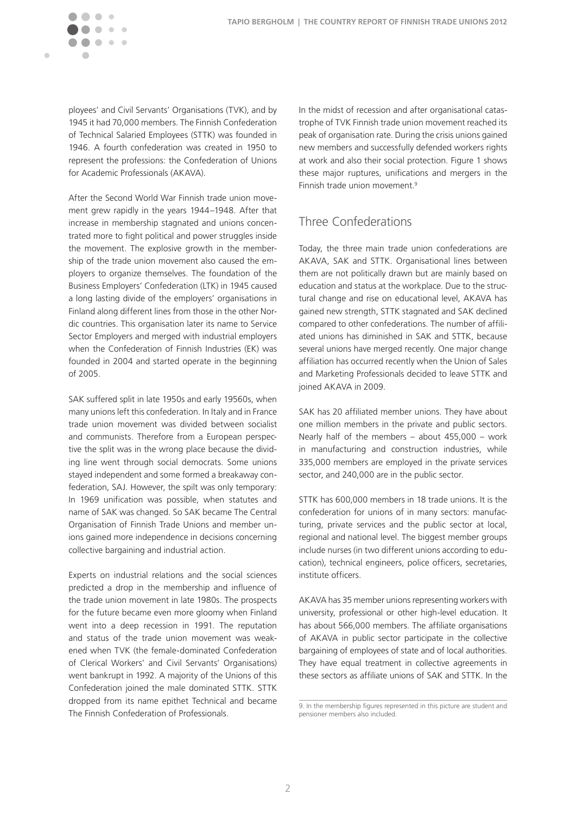

ployees' and Civil Servants' Organisations (TVK), and by 1945 it had 70,000 members. The Finnish Confederation of Technical Salaried Employees (STTK) was founded in 1946. A fourth confederation was created in 1950 to represent the professions: the Confederation of Unions for Academic Professionals (AKAVA).

After the Second World War Finnish trade union movement grew rapidly in the years 1944 –1948. After that increase in membership stagnated and unions concentrated more to fight political and power struggles inside the movement. The explosive growth in the membership of the trade union movement also caused the employers to organize themselves. The foundation of the Business Employers' Confederation (LTK) in 1945 caused a long lasting divide of the employers' organisations in Finland along different lines from those in the other Nordic countries. This organisation later its name to Service Sector Employers and merged with industrial employers when the Confederation of Finnish Industries (EK) was founded in 2004 and started operate in the beginning of 2005.

SAK suffered split in late 1950s and early 19560s, when many unions left this confederation. In Italy and in France trade union movement was divided between socialist and communists. Therefore from a European perspective the split was in the wrong place because the dividing line went through social democrats. Some unions stayed independent and some formed a breakaway confederation, SAJ. However, the spilt was only temporary: In 1969 unification was possible, when statutes and name of SAK was changed. So SAK became The Central Organisation of Finnish Trade Unions and member unions gained more independence in decisions concerning collective bargaining and industrial action.

Experts on industrial relations and the social sciences predicted a drop in the membership and influence of the trade union movement in late 1980s. The prospects for the future became even more gloomy when Finland went into a deep recession in 1991. The reputation and status of the trade union movement was weakened when TVK (the female-dominated Confederation of Clerical Workers' and Civil Servants' Organisations) went bankrupt in 1992. A majority of the Unions of this Confederation joined the male dominated STTK. STTK dropped from its name epithet Technical and became The Finnish Confederation of Professionals.

In the midst of recession and after organisational catastrophe of TVK Finnish trade union movement reached its peak of organisation rate. During the crisis unions gained new members and successfully defended workers rights at work and also their social protection. Figure 1 shows these major ruptures, unifications and mergers in the Finnish trade union movement. 9

# Three Confederations

Today, the three main trade union confederations are AKAVA, SAK and STTK. Organisational lines between them are not politically drawn but are mainly based on education and status at the workplace. Due to the structural change and rise on educational level, AKAVA has gained new strength, STTK stagnated and SAK declined compared to other confederations. The number of affiliated unions has diminished in SAK and STTK, because several unions have merged recently. One major change affiliation has occurred recently when the Union of Sales and Marketing Professionals decided to leave STTK and joined AKAVA in 2009.

SAK has 20 affiliated member unions. They have about one million members in the private and public sectors. Nearly half of the members – about 455,000 – work in manufacturing and construction industries, while 335,000 members are employed in the private services sector, and 240,000 are in the public sector.

STTK has 600,000 members in 18 trade unions. It is the confederation for unions of in many sectors: manufacturing, private services and the public sector at local, regional and national level. The biggest member groups include nurses (in two different unions according to education), technical engineers, police officers, secretaries, institute officers.

AKAVA has 35 member unions representing workers with university, professional or other high-level education. It has about 566,000 members. The affiliate organisations of AKAVA in public sector participate in the collective bargaining of employees of state and of local authorities. They have equal treatment in collective agreements in these sectors as affiliate unions of SAK and STTK. In the

<sup>9.</sup> In the membership figures represented in this picture are student and pensioner members also included.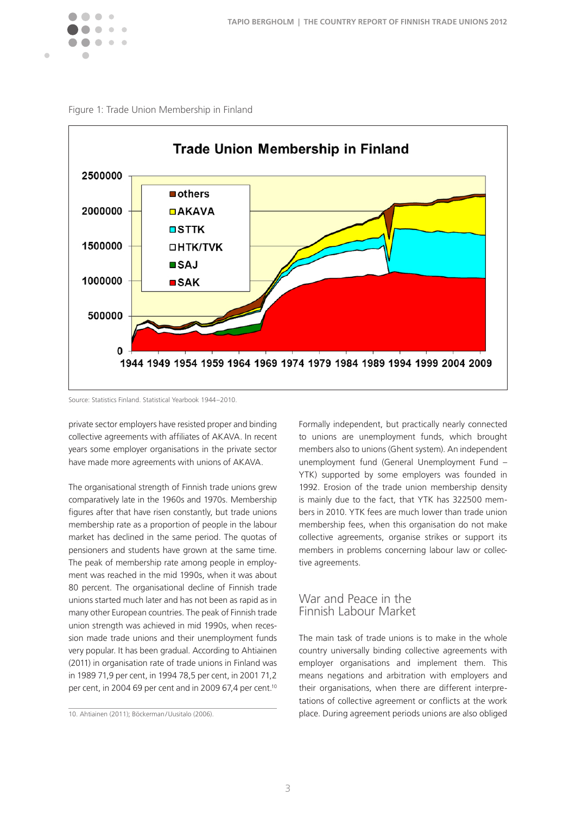

Figure 1: Trade Union Membership in Finland



Source: Statistics Finland. Statistical Yearbook 1944 –2010.

private sector employers have resisted proper and binding collective agreements with affiliates of AKAVA. In recent years some employer organisations in the private sector have made more agreements with unions of AKAVA.

The organisational strength of Finnish trade unions grew comparatively late in the 1960s and 1970s. Membership figures after that have risen constantly, but trade unions membership rate as a proportion of people in the labour market has declined in the same period. The quotas of pensioners and students have grown at the same time. The peak of membership rate among people in employment was reached in the mid 1990s, when it was about 80 percent. The organisational decline of Finnish trade unions started much later and has not been as rapid as in many other European countries. The peak of Finnish trade union strength was achieved in mid 1990s, when recession made trade unions and their unemployment funds very popular. It has been gradual. According to Ahtiainen (2011) in organisation rate of trade unions in Finland was in 1989 71,9 per cent, in 1994 78,5 per cent, in 2001 71,2 per cent, in 2004 69 per cent and in 2009 67,4 per cent. 10

Formally independent, but practically nearly connected to unions are unemployment funds, which brought members also to unions (Ghent system). An independent unemployment fund (General Unemployment Fund – YTK) supported by some employers was founded in 1992. Erosion of the trade union membership density is mainly due to the fact, that YTK has 322500 members in 2010. YTK fees are much lower than trade union membership fees, when this organisation do not make collective agreements, organise strikes or support its members in problems concerning labour law or collective agreements.

## War and Peace in the Finnish Labour Market

The main task of trade unions is to make in the whole country universally binding collective agreements with employer organisations and implement them. This means negations and arbitration with employers and their organisations, when there are different interpretations of collective agreement or conflicts at the work place. During agreement periods unions are also obliged

<sup>10.</sup> Ahtiainen (2011); Böckerman/Uusitalo (2006).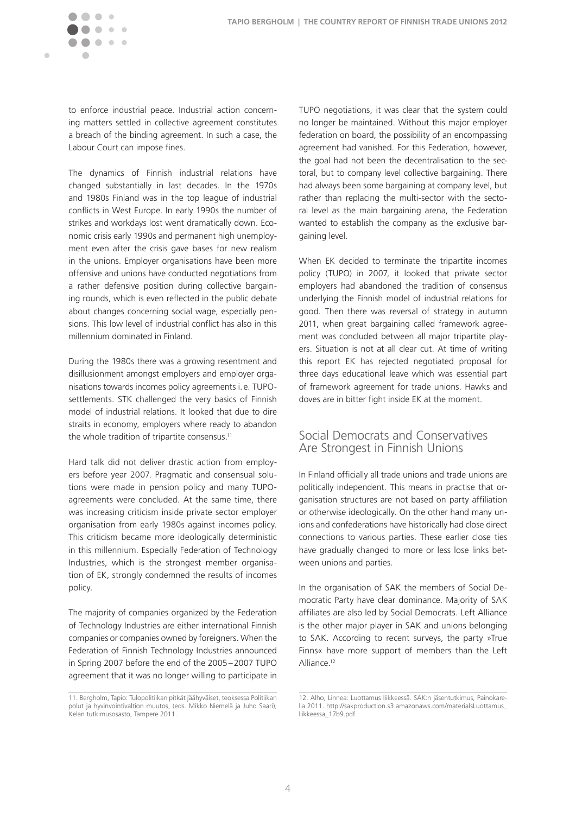

to enforce industrial peace. Industrial action concerning matters settled in collective agreement constitutes a breach of the binding agreement. In such a case, the Labour Court can impose fines.

The dynamics of Finnish industrial relations have changed substantially in last decades. In the 1970s and 1980s Finland was in the top league of industrial conflicts in West Europe. In early 1990s the number of strikes and workdays lost went dramatically down. Economic crisis early 1990s and permanent high unemployment even after the crisis gave bases for new realism in the unions. Employer organisations have been more offensive and unions have conducted negotiations from a rather defensive position during collective bargaining rounds, which is even reflected in the public debate about changes concerning social wage, especially pensions. This low level of industrial conflict has also in this millennium dominated in Finland.

During the 1980s there was a growing resentment and disillusionment amongst employers and employer organisations towards incomes policy agreements i. e. TUPOsettlements. STK challenged the very basics of Finnish model of industrial relations. It looked that due to dire straits in economy, employers where ready to abandon the whole tradition of tripartite consensus. 11

Hard talk did not deliver drastic action from employers before year 2007. Pragmatic and consensual solutions were made in pension policy and many TUPOagreements were concluded. At the same time, there was increasing criticism inside private sector employer organisation from early 1980s against incomes policy. This criticism became more ideologically deterministic in this millennium. Especially Federation of Technology Industries, which is the strongest member organisation of EK, strongly condemned the results of incomes policy.

The majority of companies organized by the Federation of Technology Industries are either international Finnish companies or companies owned by foreigners. When the Federation of Finnish Technology Industries announced in Spring 2007 before the end of the 2005–2007 TUPO agreement that it was no longer willing to participate in

TUPO negotiations, it was clear that the system could no longer be maintained. Without this major employer federation on board, the possibility of an encompassing agreement had vanished. For this Federation, however, the goal had not been the decentralisation to the sectoral, but to company level collective bargaining. There had always been some bargaining at company level, but rather than replacing the multi-sector with the sectoral level as the main bargaining arena, the Federation wanted to establish the company as the exclusive bargaining level.

When EK decided to terminate the tripartite incomes policy (TUPO) in 2007, it looked that private sector employers had abandoned the tradition of consensus underlying the Finnish model of industrial relations for good. Then there was reversal of strategy in autumn 2011, when great bargaining called framework agreement was concluded between all major tripartite players. Situation is not at all clear cut. At time of writing this report EK has rejected negotiated proposal for three days educational leave which was essential part of framework agreement for trade unions. Hawks and doves are in bitter fight inside EK at the moment.

### Social Democrats and Conservatives Are Strongest in Finnish Unions

In Finland officially all trade unions and trade unions are politically independent. This means in practise that organisation structures are not based on party affiliation or otherwise ideologically. On the other hand many unions and confederations have historically had close direct connections to various parties. These earlier close ties have gradually changed to more or less lose links between unions and parties.

In the organisation of SAK the members of Social Democratic Party have clear dominance. Majority of SAK affiliates are also led by Social Democrats. Left Alliance is the other major player in SAK and unions belonging to SAK. According to recent surveys, the party »True Finns« have more support of members than the Left Alliance. 12

<sup>11.</sup> Bergholm, Tapio: Tulopolitiikan pitkät jäähyväiset, teoksessa Politiikan polut ja hyvinvointivaltion muutos, (eds. Mikko Niemelä ja Juho Saari), Kelan tutkimusosasto, Tampere 2011.

<sup>12.</sup> Alho, Linnea: Luottamus liikkeessä. SAK:n jäsentutkimus, Painokarelia 2011. http://sakproduction.s3.amazonaws.com/materialsLuottamus\_ liikkeessa\_17b9.pdf.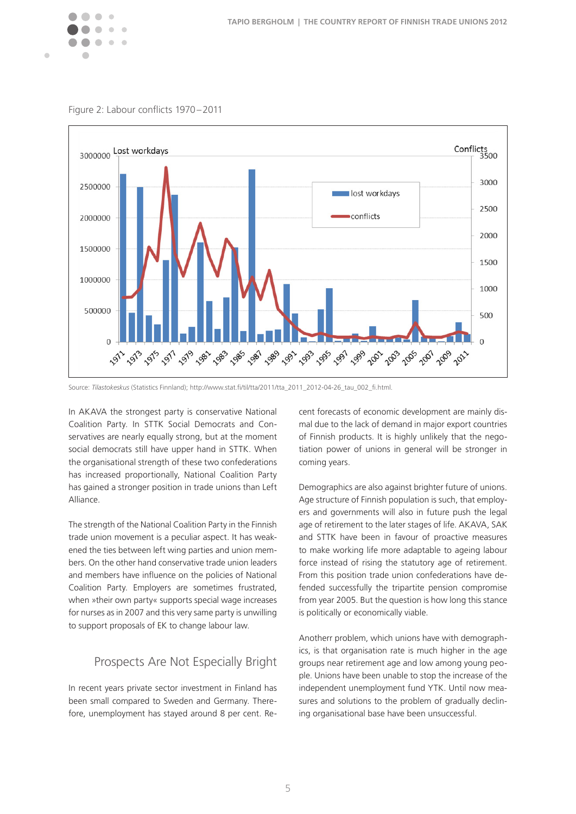

Figure 2: Labour conflicts 1970–2011



Source: *Tilastokeskus* (Statistics Finnland); http://www.stat.fi/til/tta/2011/tta\_2011\_2012-04-26\_tau\_002\_fi.html.

In AKAVA the strongest party is conservative National Coalition Party. In STTK Social Democrats and Conservatives are nearly equally strong, but at the moment social democrats still have upper hand in STTK. When the organisational strength of these two confederations has increased proportionally, National Coalition Party has gained a stronger position in trade unions than Left Alliance.

The strength of the National Coalition Party in the Finnish trade union movement is a peculiar aspect. It has weakened the ties between left wing parties and union members. On the other hand conservative trade union leaders and members have influence on the policies of National Coalition Party. Employers are sometimes frustrated, when »their own party« supports special wage increases for nurses as in 2007 and this very same party is unwilling to support proposals of EK to change labour law.

### Prospects Are Not Especially Bright

In recent years private sector investment in Finland has been small compared to Sweden and Germany. Therefore, unemployment has stayed around 8 per cent. Recent forecasts of economic development are mainly dismal due to the lack of demand in major export countries of Finnish products. It is highly unlikely that the negotiation power of unions in general will be stronger in coming years.

Demographics are also against brighter future of unions. Age structure of Finnish population is such, that employers and governments will also in future push the legal age of retirement to the later stages of life. AKAVA, SAK and STTK have been in favour of proactive measures to make working life more adaptable to ageing labour force instead of rising the statutory age of retirement. From this position trade union confederations have defended successfully the tripartite pension compromise from year 2005. But the question is how long this stance is politically or economically viable.

Anotherr problem, which unions have with demographics, is that organisation rate is much higher in the age groups near retirement age and low among young people. Unions have been unable to stop the increase of the independent unemployment fund YTK. Until now measures and solutions to the problem of gradually declining organisational base have been unsuccessful.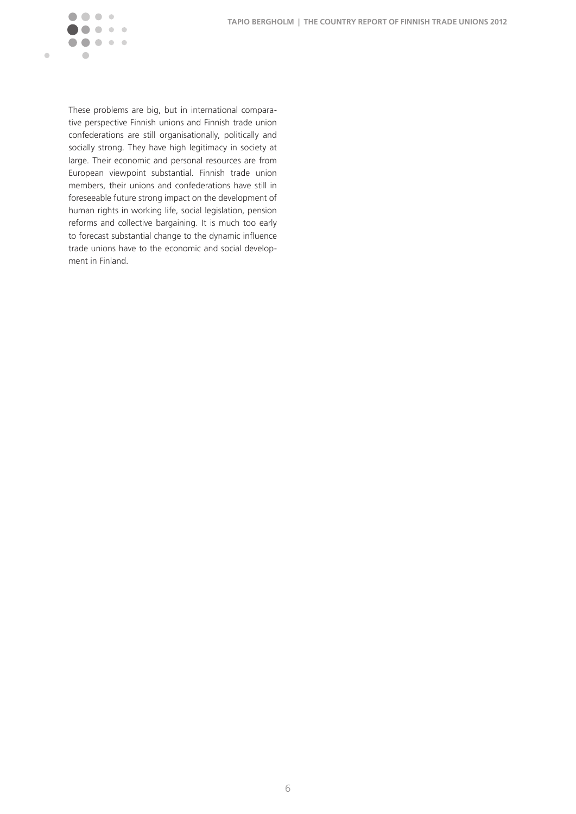

These problems are big, but in international comparative perspective Finnish unions and Finnish trade union confederations are still organisationally, politically and socially strong. They have high legitimacy in society at large. Their economic and personal resources are from European viewpoint substantial. Finnish trade union members, their unions and confederations have still in foreseeable future strong impact on the development of human rights in working life, social legislation, pension reforms and collective bargaining. It is much too early to forecast substantial change to the dynamic influence trade unions have to the economic and social development in Finland.